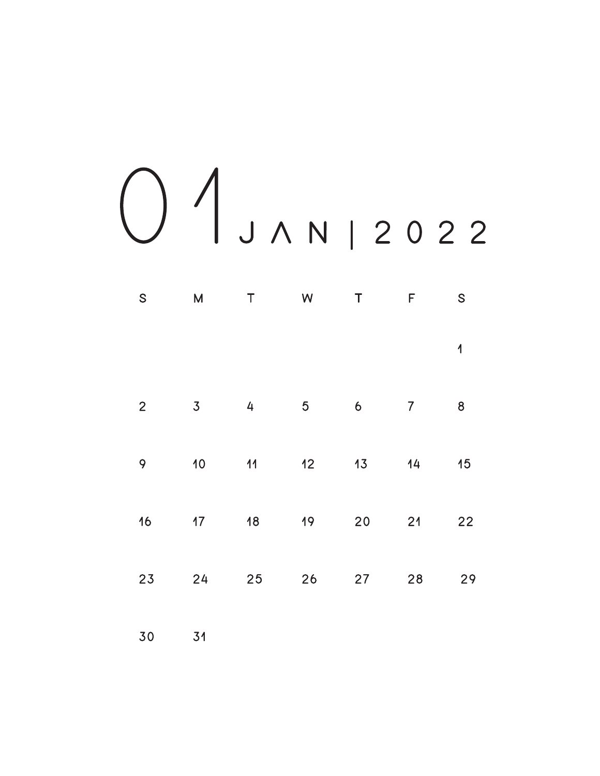## 0 1 J A N | 2 0 2 2

| $\mathsf{S}$   | $\mathsf{M}$    | $\top$         | W  | $\top$      | F              | S                       |
|----------------|-----------------|----------------|----|-------------|----------------|-------------------------|
|                |                 |                |    |             |                | $\overline{\mathbf{A}}$ |
| $\overline{2}$ | $\overline{3}$  | $\overline{4}$ | 5  | $\mathbf 6$ | $\overline{7}$ | 8                       |
| 9              | 10 <sub>o</sub> | 11             | 12 | 13          | 14             | 15                      |
| 16             | 17              | 18             | 19 | 20          | 21             | 22                      |
| 23             | 24              | 25             | 26 | 27          | 28             | 29                      |

30 31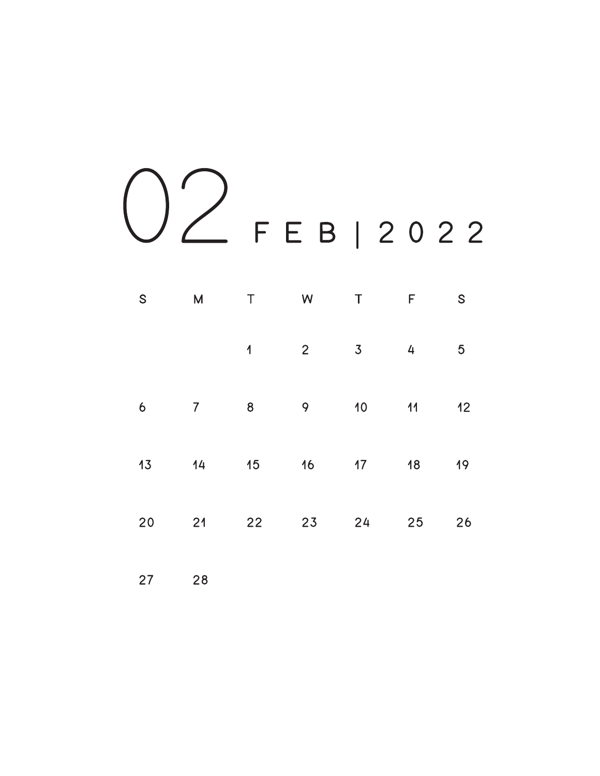

| S                | $\overline{M}$ | T                | W              | $\top$         | F  | $\mathsf S$    |
|------------------|----------------|------------------|----------------|----------------|----|----------------|
|                  |                | $\overline{1}$   | $\overline{2}$ | 3 <sup>7</sup> | 4  | $\overline{5}$ |
| $\boldsymbol{6}$ | 7 <sup>7</sup> | $\boldsymbol{8}$ | 9              | 10             | 11 | 12             |
| 13               | 14             | 15               | 16             | 17             | 18 | 19             |
| 20               | 21             | 22               | 23             | 24             | 25 | 26             |
|                  |                |                  |                |                |    |                |

27 28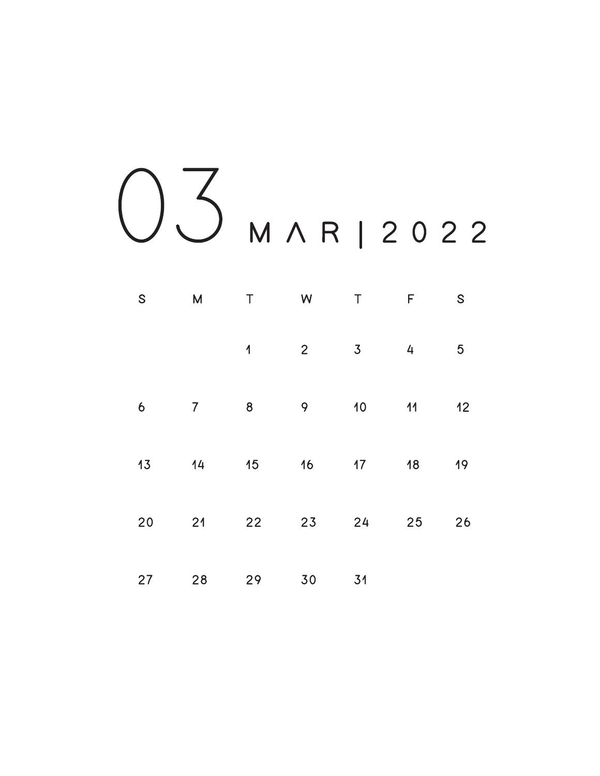03 MAR12022

| S  | $\overline{\mathsf{M}}$ | $\top$         | <b>W</b>       | $\top$         | F              | $\mathsf S$    |
|----|-------------------------|----------------|----------------|----------------|----------------|----------------|
|    |                         | $\overline{1}$ | $\overline{2}$ | $\overline{3}$ | $\overline{4}$ | $\overline{5}$ |
| 6  | 7 <sup>1</sup>          | 8              | 9              | $10-10$        | 11             | 12             |
| 13 | 14                      | 15             | 16             | 17             | 18             | 19             |
| 20 | 21                      | 22             | 23             | 24             | 25             | 26             |
| 27 | 28                      | 29             | 30             | 31             |                |                |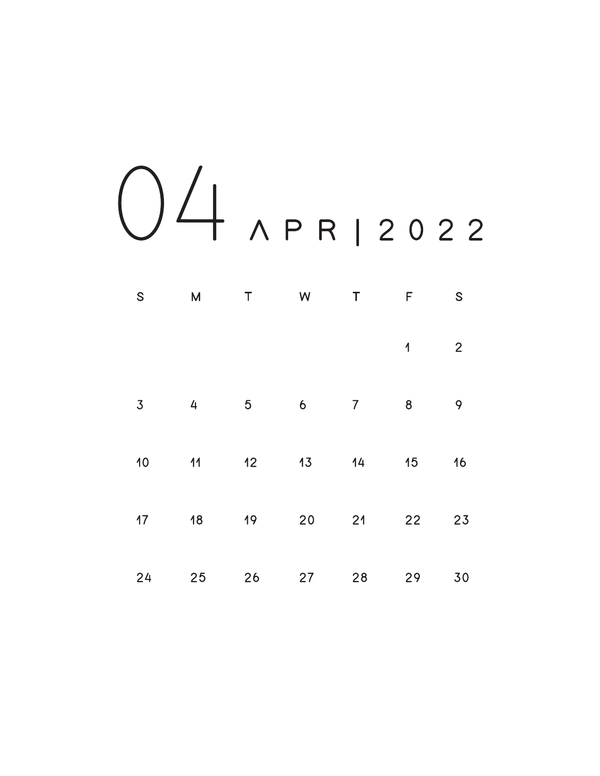

| ${\mathsf S}$  | ${\sf M}$ | $\mathsf T$    | W  | $\top$         | F                       | ${\mathsf S}$  |
|----------------|-----------|----------------|----|----------------|-------------------------|----------------|
|                |           |                |    |                | $\overline{\mathbf{1}}$ | $\overline{2}$ |
| $\overline{3}$ | 4         | $\overline{5}$ | 6  | $\overline{7}$ | 8                       | 9              |
| 10             | 11        | 12             | 13 | 14             | 15                      | 16             |
| 17             | 18        | 19             | 20 | 21             | 22                      | 23             |
| 24             | 25        | 26             | 27 | 28             | 29                      | 30             |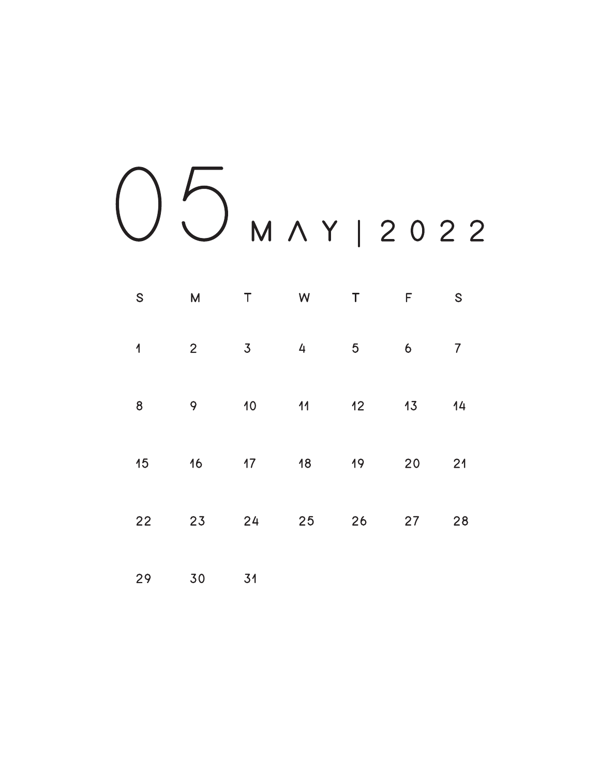

| S                        | $M_{\odot}$    | $\top$     | <b>Solution Street Windows</b> | $\sf T$        | F     | S              |
|--------------------------|----------------|------------|--------------------------------|----------------|-------|----------------|
| $\overline{\mathcal{L}}$ | 2 <sup>7</sup> |            | $3 \t 4$                       | 5 <sub>5</sub> | 6     | $\overline{7}$ |
| 8                        |                | 9 10 11 12 |                                |                | 13    | 14             |
| 15                       |                | 16 17 18   |                                | 19             | 20    | 21             |
| 22                       |                | 23 24 25   |                                |                | 26 27 | 28             |

29 30 31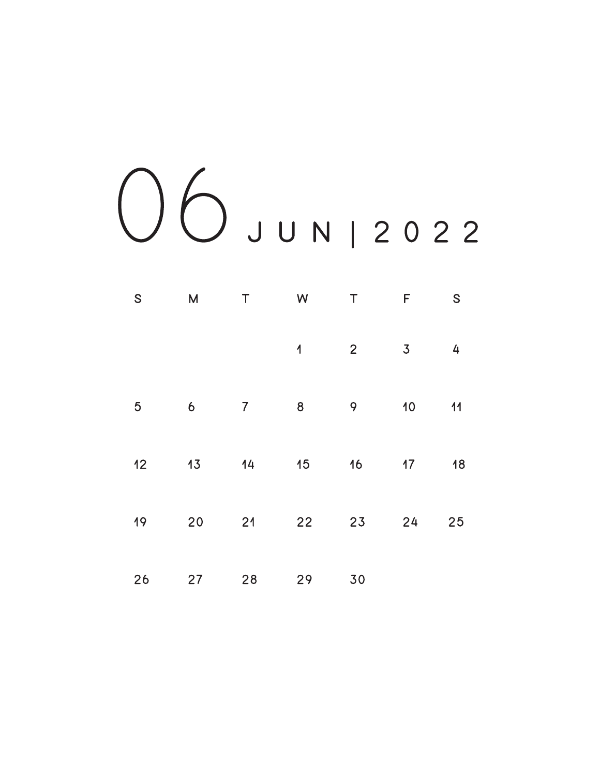06 J U N | 2 0 2 2

| $\mathsf{S}$   | M                | $\top$ | W                       | $\top$          | $\mathsf F$      | S  |
|----------------|------------------|--------|-------------------------|-----------------|------------------|----|
|                |                  |        | $\overline{\mathbf{1}}$ | $\overline{2}$  | $\overline{3}$   | 4  |
| $\overline{5}$ | $\boldsymbol{6}$ | 7      | $\boldsymbol{8}$        | 9               | 10 <sub>1</sub>  | 11 |
| 12             | 13               | 14     | 15                      | 16 <sub>1</sub> | 17 <sup>17</sup> | 18 |
| 19             | 20               | 21     | 22                      | 23              | 24               | 25 |
| 26             | 27               | 28     | 29                      | 30              |                  |    |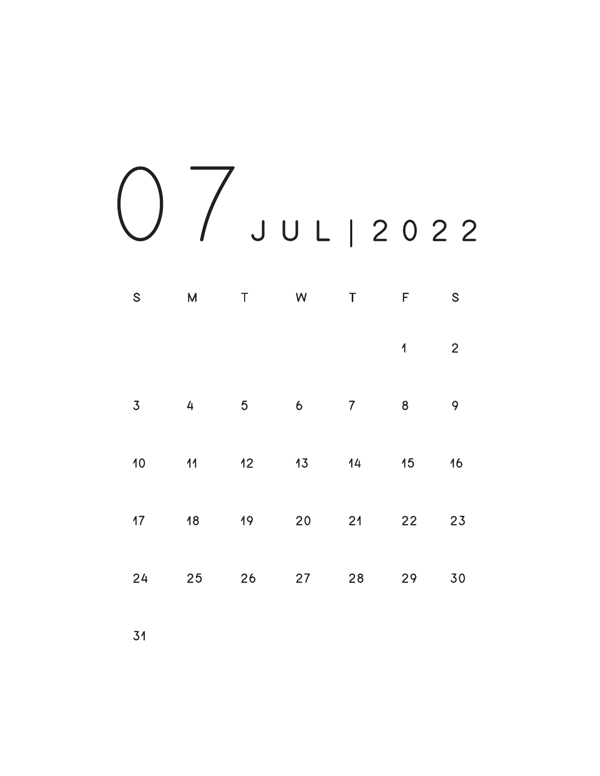0 7 J U L | 2 0 2 2

| S              | M  | $\top$          | W                | $\sf T$        | $\mathsf F$             | S              |
|----------------|----|-----------------|------------------|----------------|-------------------------|----------------|
|                |    |                 |                  |                | $\overline{\mathbf{1}}$ | $\overline{2}$ |
| $\overline{3}$ | 4  | $\overline{5}$  | $\boldsymbol{6}$ | $\overline{7}$ | 8                       | 9              |
| 10             | 11 | 12 <sub>1</sub> | 13 <sub>1</sub>  | 14             | 15                      | 16             |
| 17             | 18 | 19              | 20               | 21             | 22                      | 23             |
| 24             | 25 | 26              | 27               | 28             | 29                      | 30             |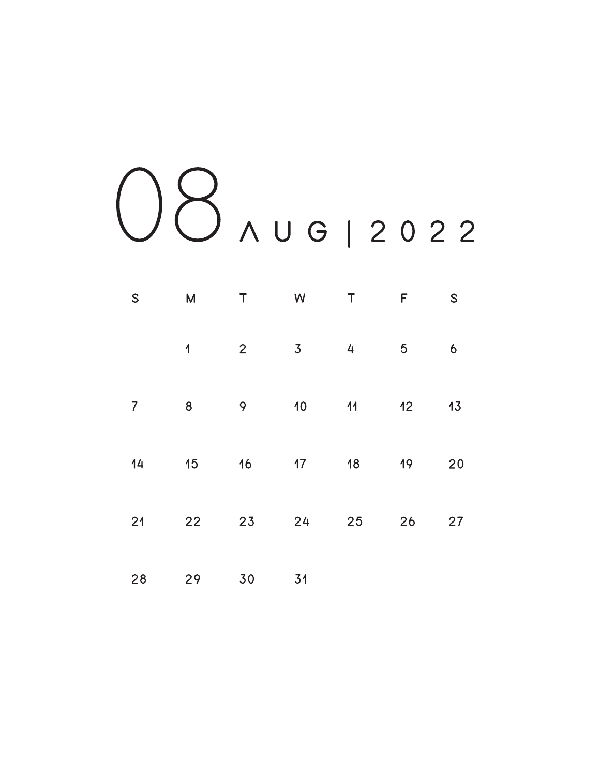

| $\mathsf{S}$   | $\overline{M}$ | $\top$         | W               | $\top$ | F  | ${\mathsf S}$ |
|----------------|----------------|----------------|-----------------|--------|----|---------------|
|                | $\overline{1}$ | $\overline{2}$ | 3               | 4      | 5  | 6             |
| $\overline{7}$ | 8              | 9              | 10              | 11     | 12 | 13            |
| 14             | 15             | 16             | 17 <sup>1</sup> | 18     | 19 | 20            |
| 21             | 22             | 23             | 24              | 25     | 26 | 27            |
| 28             | 29             | 30             | 31              |        |    |               |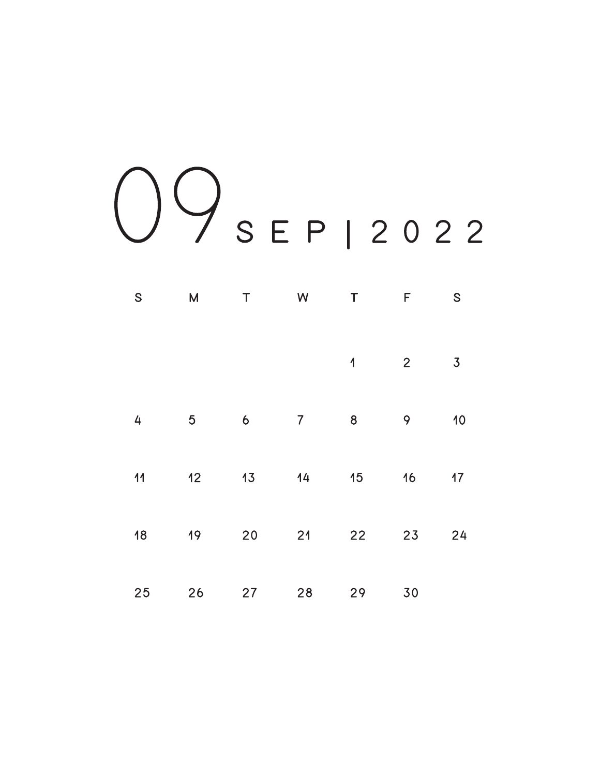09<br>
SEP | 2022

| $\mathsf{S}$   | M              | $\sf T$             | W              | $\sf T$                 | F              | S              |
|----------------|----------------|---------------------|----------------|-------------------------|----------------|----------------|
|                |                |                     |                | $\overline{\mathbf{1}}$ | $\overline{2}$ | $\overline{3}$ |
| $\overline{4}$ | $\overline{5}$ | $\ddot{\mathbf{6}}$ | $\overline{7}$ | 8                       | 9              | 10             |
| 11             | 12             | 13                  | 14             | 15                      | 16             | 17             |
| 18             | 19             | 20                  | 21             | 22                      | 23             | 24             |
| 25             | 26             | 27                  | 28             | 29                      | 30             |                |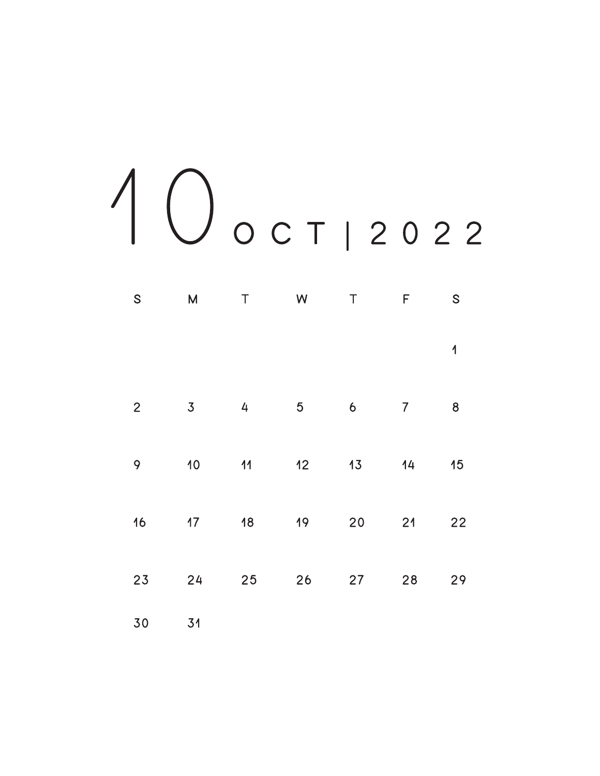## 1 0 O C T | 2 0 2 2

| $\mathsf{S}$   | M              | $\sf T$        | W              | $\top$              | $\mathsf F$    | ${\mathsf S}$  |
|----------------|----------------|----------------|----------------|---------------------|----------------|----------------|
|                |                |                |                |                     |                | $\overline{1}$ |
| $\overline{2}$ | $\overline{3}$ | $\overline{4}$ | $\overline{5}$ | $\ddot{\mathbf{6}}$ | $\overline{7}$ | $\bf 8$        |
| 9              | 10             | 11             | 12             | 13                  | 14             | 15             |
| 16             | 17             | 18             | 19             | 20                  | 21             | 22             |
| 23             | 24             | 25             | 26             | 27                  | 28             | 29             |
| 30             | 31             |                |                |                     |                |                |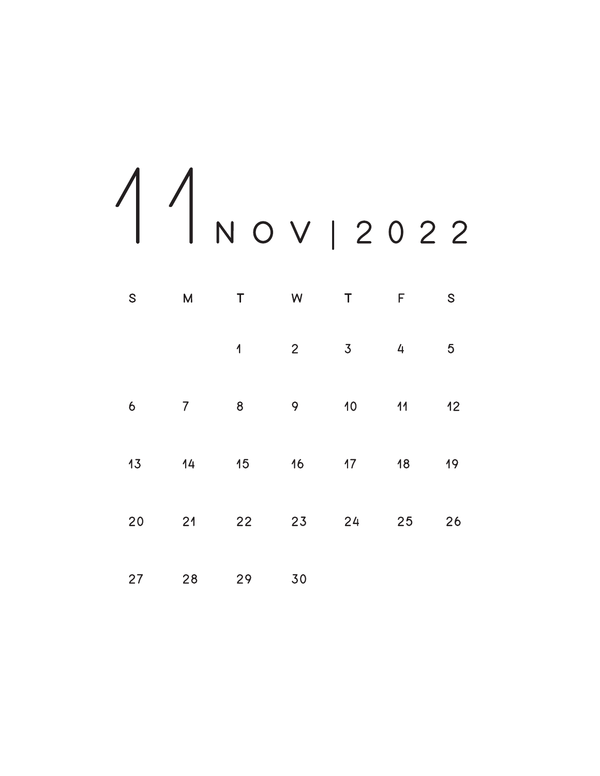1 1 N O V | 2 0 2 2

| ${\mathsf S}$ | M              | $\top$                  | W              | $\top$          | F  | ${\mathsf S}$  |
|---------------|----------------|-------------------------|----------------|-----------------|----|----------------|
|               |                | $\overline{\mathbf{1}}$ | $\overline{2}$ | $\overline{3}$  | 4  | $\overline{5}$ |
| 6             | $\overline{7}$ | 8                       | 9              | 10 <sub>o</sub> | 11 | 12             |
| 13            | 14             | 15                      | 16             | 17 <sup>2</sup> | 18 | 19             |
| 20            | 21             | 22                      | 23             | 24              | 25 | 26             |
| 27            | 28             | 29                      | 30             |                 |    |                |